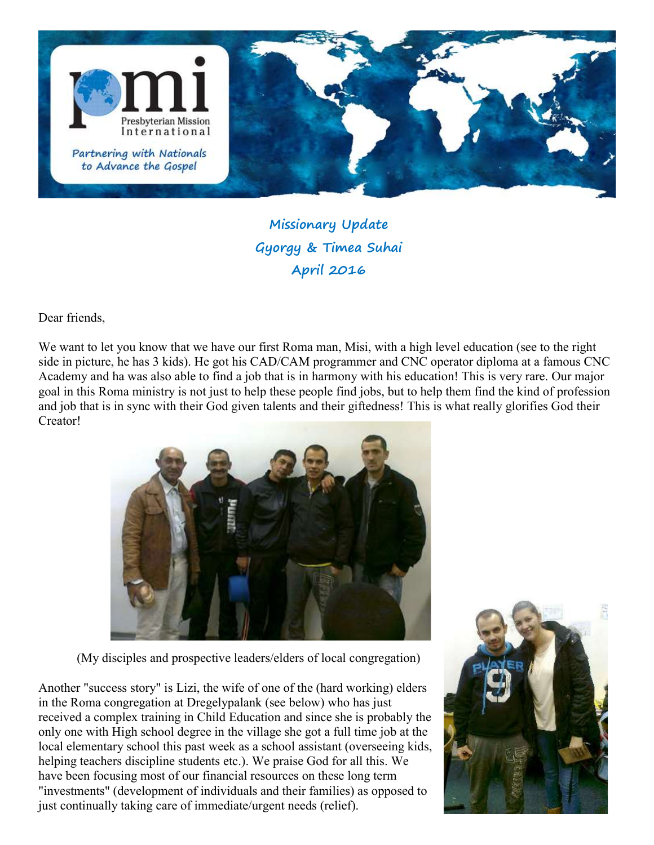

## Missionary Update Gyorgy & Timea Suhai April 2016

Dear friends,

We want to let you know that we have our first Roma man, Misi, with a high level education (see to the right side in picture, he has 3 kids). He got his CAD/CAM programmer and CNC operator diploma at a famous CNC Academy and ha was also able to find a job that is in harmony with his education! This is very rare. Our major goal in this Roma ministry is not just to help these people find jobs, but to help them find the kind of profession and job that is in sync with their God given talents and their giftedness! This is what really glorifies God their Creator!



(My disciples and prospective leaders/elders of local congregation)

Another "success story" is Lizi, the wife of one of the (hard working) elders in the Roma congregation at Dregelypalank (see below) who has just received a complex training in Child Education and since she is probably the only one with High school degree in the village she got a full time job at the local elementary school this past week as a school assistant (overseeing kids, helping teachers discipline students etc.). We praise God for all this. We have been focusing most of our financial resources on these long term "investments" (development of individuals and their families) as opposed to just continually taking care of immediate/urgent needs (relief).